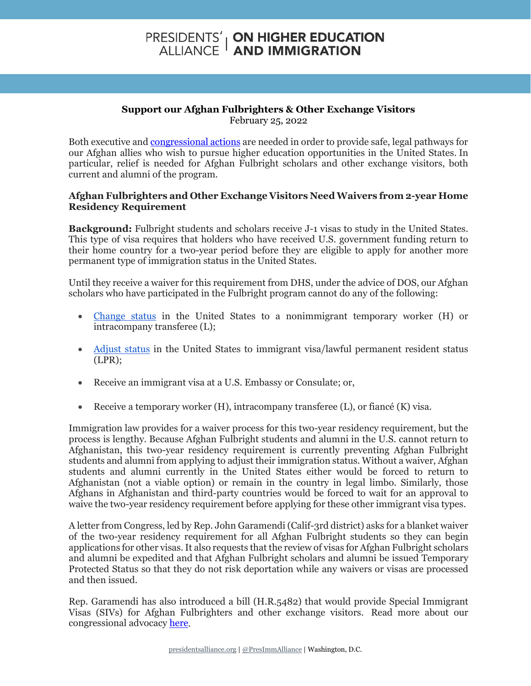## **PRESIDENTS' | ON HIGHER EDUCATION<br>ALLIANCE | AND IMMIGRATION**

## **Support our Afghan Fulbrighters & Other Exchange Visitors** February 25, 2022

Both executive an[d congressional actions](https://www.presidentsalliance.org/what-congress-can-do-to-help-our-afghan-fulbrighters-and-other-exchange-visitors/) are needed in order to provide safe, legal pathways for our Afghan allies who wish to pursue higher education opportunities in the United States. In particular, relief is needed for Afghan Fulbright scholars and other exchange visitors, both current and alumni of the program.

## **Afghan Fulbrighters and Other Exchange Visitors Need Waivers from 2-year Home Residency Requirement**

**Background:** Fulbright students and scholars receive J-1 visas to study in the United States. This type of visa requires that holders who have received U.S. government funding return to their home country for a two-year period before they are eligible to apply for another more permanent type of immigration status in the United States.

Until they receive a waiver for this requirement from DHS, under the advice of DOS, our Afghan scholars who have participated in the Fulbright program cannot do any of the following:

- [Change status](https://travel.state.gov/content/travel/en/us-visas/study/exchange/waiver-of-the-exchange-visitor/eligibility.html#ExternalPopup) in the United States to a nonimmigrant temporary worker (H) or intracompany transferee (L);
- [Adjust status](https://travel.state.gov/content/travel/en/us-visas/study/exchange/waiver-of-the-exchange-visitor/eligibility.html#ExternalPopup) in the United States to immigrant visa/lawful permanent resident status (LPR);
- Receive an immigrant visa at a U.S. Embassy or Consulate; or,
- Receive a temporary worker  $(H)$ , intracompany transferee  $(L)$ , or fiancé  $(K)$  visa.

Immigration law provides for a waiver process for this two-year residency requirement, but the process is lengthy. Because Afghan Fulbright students and alumni in the U.S. cannot return to Afghanistan, this two-year residency requirement is currently preventing Afghan Fulbright students and alumni from applying to adjust their immigration status. Without a waiver, Afghan students and alumni currently in the United States either would be forced to return to Afghanistan (not a viable option) or remain in the country in legal limbo. Similarly, those Afghans in Afghanistan and third-party countries would be forced to wait for an approval to waive the two-year residency requirement before applying for these other immigrant visa types.

A letter from Congress, led by Rep. John Garamendi (Calif-3rd district) asks for a blanket waiver of the two-year residency requirement for all Afghan Fulbright students so they can begin applications for other visas. It also requests that the review of visas for Afghan Fulbright scholars and alumni be expedited and that Afghan Fulbright scholars and alumni be issued Temporary Protected Status so that they do not risk deportation while any waivers or visas are processed and then issued.

Rep. Garamendi has also introduced a bill (H.R.5482) that would provide Special Immigrant Visas (SIVs) for Afghan Fulbrighters and other exchange visitors. Read more about our congressional advocacy [here.](https://www.presidentsalliance.org/what-congress-can-do-to-help-our-afghan-fulbrighters-and-other-exchange-visitors/)